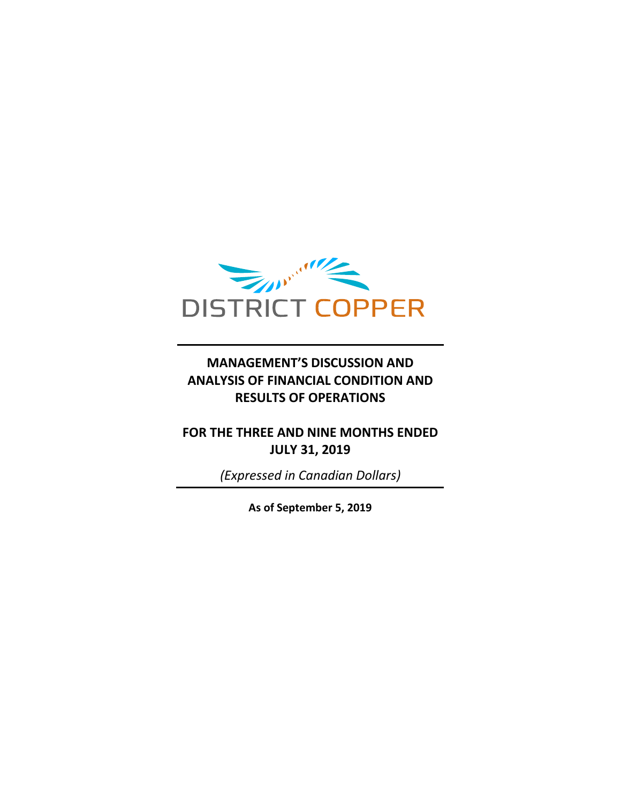

## **MANAGEMENT'S DISCUSSION AND ANALYSIS OF FINANCIAL CONDITION AND RESULTS OF OPERATIONS**

## **FOR THE THREE AND NINE MONTHS ENDED JULY 31, 2019**

*(Expressed in Canadian Dollars)*

**As of September 5, 2019**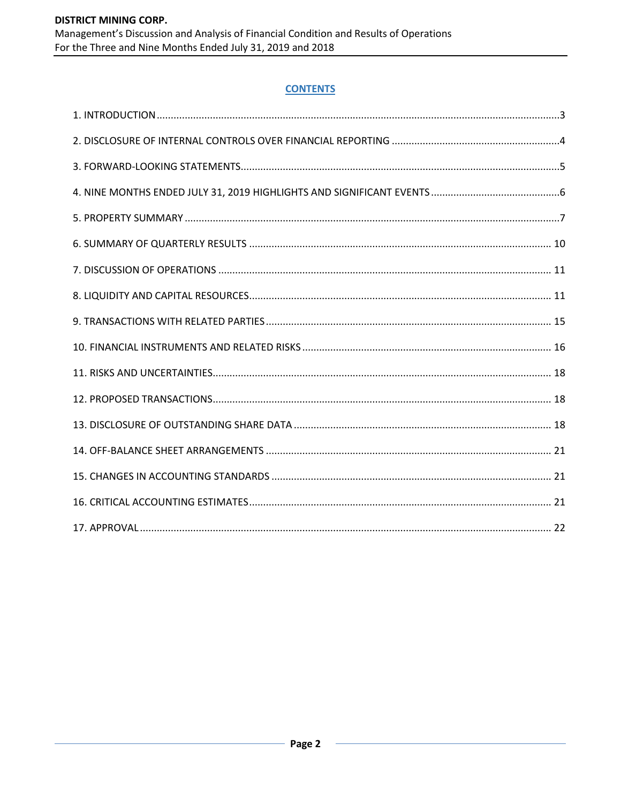## **CONTENTS**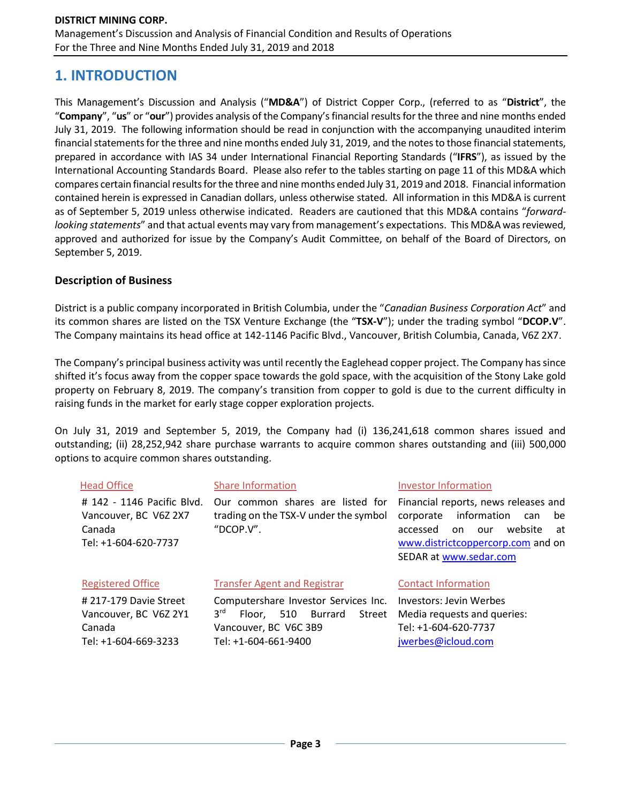## **1. INTRODUCTION**

This Management's Discussion and Analysis ("**MD&A**") of District Copper Corp., (referred to as "**District**", the "**Company**", "**us**" or "**our**") provides analysis of the Company's financial results for the three and nine months ended July 31, 2019. The following information should be read in conjunction with the accompanying unaudited interim financial statements for the three and nine months ended July 31, 2019, and the notes to those financial statements, prepared in accordance with IAS 34 under International Financial Reporting Standards ("**IFRS**"), as issued by the International Accounting Standards Board. Please also refer to the tables starting on page 11 of this MD&A which compares certain financial results for the three and nine months ended July 31, 2019 and 2018. Financial information contained herein is expressed in Canadian dollars, unless otherwise stated. All information in this MD&A is current as of September 5, 2019 unless otherwise indicated. Readers are cautioned that this MD&A contains "*forwardlooking statements*" and that actual events may vary from management's expectations. This MD&A was reviewed, approved and authorized for issue by the Company's Audit Committee, on behalf of the Board of Directors, on September 5, 2019.

## **Description of Business**

District is a public company incorporated in British Columbia, under the "*Canadian Business Corporation Act*" and its common shares are listed on the TSX Venture Exchange (the "**TSX-V**"); under the trading symbol "**DCOP.V**". The Company maintains its head office at 142-1146 Pacific Blvd., Vancouver, British Columbia, Canada, V6Z 2X7.

The Company's principal business activity was until recently the Eaglehead copper project. The Company has since shifted it's focus away from the copper space towards the gold space, with the acquisition of the Stony Lake gold property on February 8, 2019. The company's transition from copper to gold is due to the current difficulty in raising funds in the market for early stage copper exploration projects.

On July 31, 2019 and September 5, 2019, the Company had (i) 136,241,618 common shares issued and outstanding; (ii) 28,252,942 share purchase warrants to acquire common shares outstanding and (iii) 500,000 options to acquire common shares outstanding.

| <b>Head Office</b>                                                                    | <b>Share Information</b>                                                                                                                       | Investor Information                                                                                                                                                                   |  |  |  |  |
|---------------------------------------------------------------------------------------|------------------------------------------------------------------------------------------------------------------------------------------------|----------------------------------------------------------------------------------------------------------------------------------------------------------------------------------------|--|--|--|--|
| # 142 - 1146 Pacific Blvd.<br>Vancouver, BC V6Z 2X7<br>Canada<br>Tel: +1-604-620-7737 | Our common shares are listed for<br>trading on the TSX-V under the symbol<br>"DCOP.V".                                                         | Financial reports, news releases and<br>information<br>corporate<br>be<br>can<br>website<br>accessed<br>our<br>on<br>at<br>www.districtcoppercorp.com and on<br>SEDAR at www.sedar.com |  |  |  |  |
| <b>Registered Office</b>                                                              | <b>Transfer Agent and Registrar</b>                                                                                                            | <b>Contact Information</b>                                                                                                                                                             |  |  |  |  |
| #217-179 Davie Street<br>Vancouver, BC V6Z 2Y1<br>Canada<br>Tel: +1-604-669-3233      | Computershare Investor Services Inc.<br>3 <sup>rd</sup><br>Burrard<br>510<br>Floor.<br>Street<br>Vancouver, BC V6C 3B9<br>Tel: +1-604-661-9400 | Investors: Jevin Werbes<br>Media requests and queries:<br>Tel: +1-604-620-7737<br>jwerbes@icloud.com                                                                                   |  |  |  |  |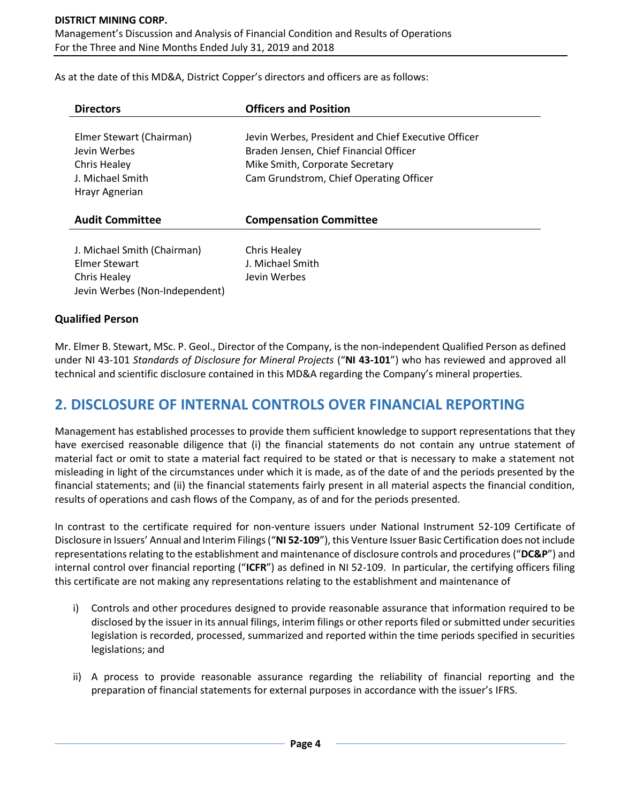As at the date of this MD&A, District Copper's directors and officers are as follows:

| <b>Directors</b>                                                                                      | <b>Officers and Position</b>                                                                                                                                                |
|-------------------------------------------------------------------------------------------------------|-----------------------------------------------------------------------------------------------------------------------------------------------------------------------------|
| Elmer Stewart (Chairman)<br>Jevin Werbes<br><b>Chris Healey</b><br>J. Michael Smith<br>Hrayr Agnerian | Jevin Werbes, President and Chief Executive Officer<br>Braden Jensen, Chief Financial Officer<br>Mike Smith, Corporate Secretary<br>Cam Grundstrom, Chief Operating Officer |
| <b>Audit Committee</b>                                                                                | <b>Compensation Committee</b>                                                                                                                                               |
| J. Michael Smith (Chairman)<br>Elmer Stewart<br><b>Chris Healey</b><br>Jevin Werbes (Non-Independent) | Chris Healey<br>J. Michael Smith<br>Jevin Werbes                                                                                                                            |

## **Qualified Person**

Mr. Elmer B. Stewart, MSc. P. Geol., Director of the Company, is the non-independent Qualified Person as defined under NI 43-101 *Standards of Disclosure for Mineral Projects* ("**NI 43-101**") who has reviewed and approved all technical and scientific disclosure contained in this MD&A regarding the Company's mineral properties.

## **2. DISCLOSURE OF INTERNAL CONTROLS OVER FINANCIAL REPORTING**

Management has established processes to provide them sufficient knowledge to support representations that they have exercised reasonable diligence that (i) the financial statements do not contain any untrue statement of material fact or omit to state a material fact required to be stated or that is necessary to make a statement not misleading in light of the circumstances under which it is made, as of the date of and the periods presented by the financial statements; and (ii) the financial statements fairly present in all material aspects the financial condition, results of operations and cash flows of the Company, as of and for the periods presented.

In contrast to the certificate required for non-venture issuers under National Instrument 52-109 Certificate of Disclosure in Issuers' Annual and Interim Filings ("**NI 52-109**"), this Venture Issuer Basic Certification does not include representations relating to the establishment and maintenance of disclosure controls and procedures ("**DC&P**") and internal control over financial reporting ("**ICFR**") as defined in NI 52-109. In particular, the certifying officers filing this certificate are not making any representations relating to the establishment and maintenance of

- i) Controls and other procedures designed to provide reasonable assurance that information required to be disclosed by the issuer in its annual filings, interim filings or other reports filed or submitted under securities legislation is recorded, processed, summarized and reported within the time periods specified in securities legislations; and
- ii) A process to provide reasonable assurance regarding the reliability of financial reporting and the preparation of financial statements for external purposes in accordance with the issuer's IFRS.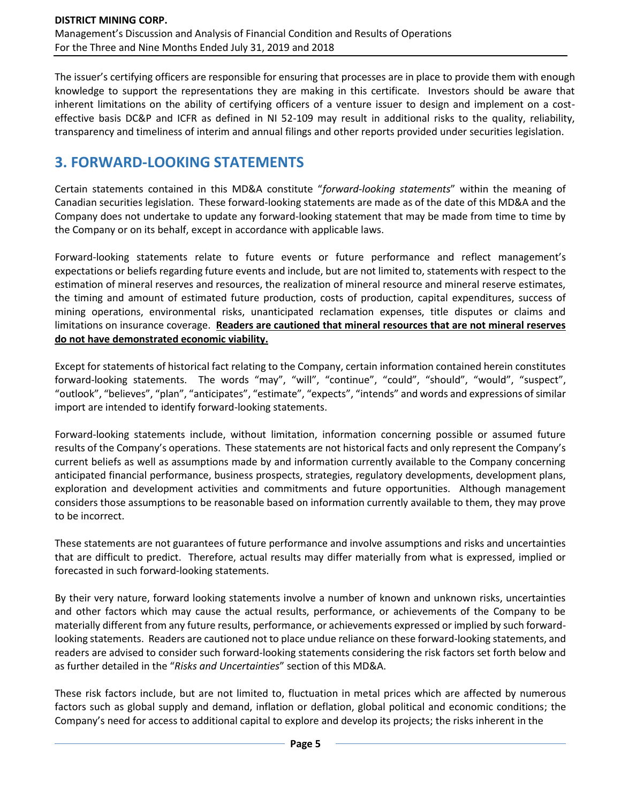The issuer's certifying officers are responsible for ensuring that processes are in place to provide them with enough knowledge to support the representations they are making in this certificate. Investors should be aware that inherent limitations on the ability of certifying officers of a venture issuer to design and implement on a costeffective basis DC&P and ICFR as defined in NI 52-109 may result in additional risks to the quality, reliability, transparency and timeliness of interim and annual filings and other reports provided under securities legislation.

# **3. FORWARD-LOOKING STATEMENTS**

Certain statements contained in this MD&A constitute "*forward-looking statements*" within the meaning of Canadian securities legislation. These forward-looking statements are made as of the date of this MD&A and the Company does not undertake to update any forward-looking statement that may be made from time to time by the Company or on its behalf, except in accordance with applicable laws.

Forward-looking statements relate to future events or future performance and reflect management's expectations or beliefs regarding future events and include, but are not limited to, statements with respect to the estimation of mineral reserves and resources, the realization of mineral resource and mineral reserve estimates, the timing and amount of estimated future production, costs of production, capital expenditures, success of mining operations, environmental risks, unanticipated reclamation expenses, title disputes or claims and limitations on insurance coverage. **Readers are cautioned that mineral resources that are not mineral reserves do not have demonstrated economic viability.**

Except for statements of historical fact relating to the Company, certain information contained herein constitutes forward-looking statements. The words "may", "will", "continue", "could", "should", "would", "suspect", "outlook", "believes", "plan", "anticipates", "estimate", "expects", "intends" and words and expressions of similar import are intended to identify forward-looking statements.

Forward-looking statements include, without limitation, information concerning possible or assumed future results of the Company's operations. These statements are not historical facts and only represent the Company's current beliefs as well as assumptions made by and information currently available to the Company concerning anticipated financial performance, business prospects, strategies, regulatory developments, development plans, exploration and development activities and commitments and future opportunities. Although management considers those assumptions to be reasonable based on information currently available to them, they may prove to be incorrect.

These statements are not guarantees of future performance and involve assumptions and risks and uncertainties that are difficult to predict. Therefore, actual results may differ materially from what is expressed, implied or forecasted in such forward-looking statements.

By their very nature, forward looking statements involve a number of known and unknown risks, uncertainties and other factors which may cause the actual results, performance, or achievements of the Company to be materially different from any future results, performance, or achievements expressed or implied by such forwardlooking statements. Readers are cautioned not to place undue reliance on these forward-looking statements, and readers are advised to consider such forward-looking statements considering the risk factors set forth below and as further detailed in the "*Risks and Uncertainties*" section of this MD&A.

These risk factors include, but are not limited to, fluctuation in metal prices which are affected by numerous factors such as global supply and demand, inflation or deflation, global political and economic conditions; the Company's need for access to additional capital to explore and develop its projects; the risks inherent in the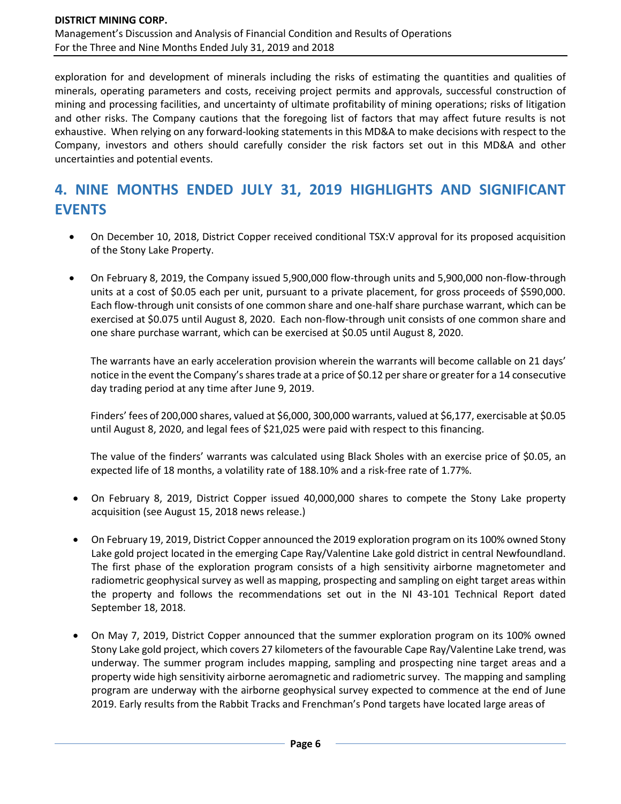exploration for and development of minerals including the risks of estimating the quantities and qualities of minerals, operating parameters and costs, receiving project permits and approvals, successful construction of mining and processing facilities, and uncertainty of ultimate profitability of mining operations; risks of litigation and other risks. The Company cautions that the foregoing list of factors that may affect future results is not exhaustive. When relying on any forward-looking statements in this MD&A to make decisions with respect to the Company, investors and others should carefully consider the risk factors set out in this MD&A and other uncertainties and potential events.

# **4. NINE MONTHS ENDED JULY 31, 2019 HIGHLIGHTS AND SIGNIFICANT EVENTS**

- On December 10, 2018, District Copper received conditional TSX:V approval for its proposed acquisition of the Stony Lake Property.
- On February 8, 2019, the Company issued 5,900,000 flow-through units and 5,900,000 non-flow-through units at a cost of \$0.05 each per unit, pursuant to a private placement, for gross proceeds of \$590,000. Each flow-through unit consists of one common share and one-half share purchase warrant, which can be exercised at \$0.075 until August 8, 2020. Each non-flow-through unit consists of one common share and one share purchase warrant, which can be exercised at \$0.05 until August 8, 2020.

The warrants have an early acceleration provision wherein the warrants will become callable on 21 days' notice in the event the Company's shares trade at a price of \$0.12 per share or greater for a 14 consecutive day trading period at any time after June 9, 2019.

Finders' fees of 200,000 shares, valued at \$6,000, 300,000 warrants, valued at \$6,177, exercisable at \$0.05 until August 8, 2020, and legal fees of \$21,025 were paid with respect to this financing.

The value of the finders' warrants was calculated using Black Sholes with an exercise price of \$0.05, an expected life of 18 months, a volatility rate of 188.10% and a risk-free rate of 1.77%.

- On February 8, 2019, District Copper issued 40,000,000 shares to compete the Stony Lake property acquisition (see August 15, 2018 news release.)
- On February 19, 2019, District Copper announced the 2019 exploration program on its 100% owned Stony Lake gold project located in the emerging Cape Ray/Valentine Lake gold district in central Newfoundland. The first phase of the exploration program consists of a high sensitivity airborne magnetometer and radiometric geophysical survey as well as mapping, prospecting and sampling on eight target areas within the property and follows the recommendations set out in the NI 43-101 Technical Report dated September 18, 2018.
- On May 7, 2019, District Copper announced that the summer exploration program on its 100% owned Stony Lake gold project, which covers 27 kilometers of the favourable Cape Ray/Valentine Lake trend, was underway. The summer program includes mapping, sampling and prospecting nine target areas and a property wide high sensitivity airborne aeromagnetic and radiometric survey. The mapping and sampling program are underway with the airborne geophysical survey expected to commence at the end of June 2019. Early results from the Rabbit Tracks and Frenchman's Pond targets have located large areas of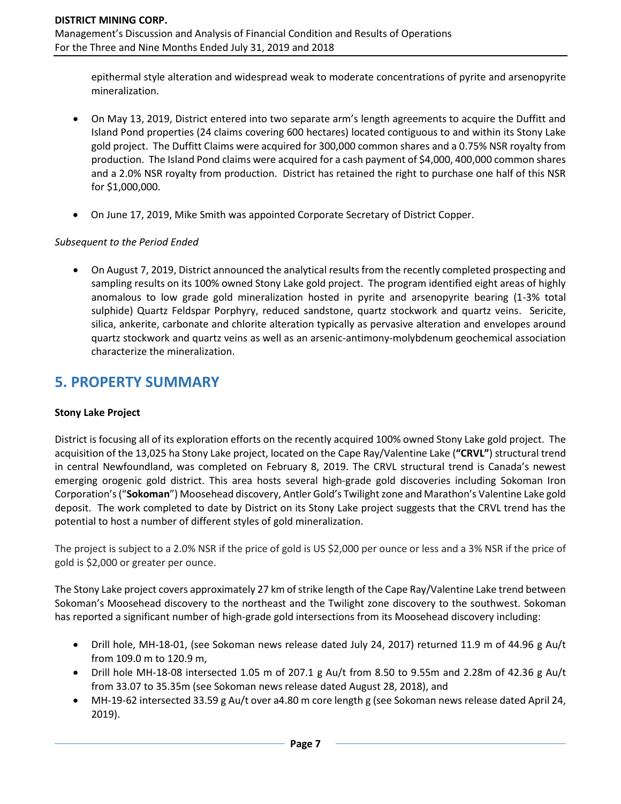epithermal style alteration and widespread weak to moderate concentrations of pyrite and arsenopyrite mineralization.

- On May 13, 2019, District entered into two separate arm's length agreements to acquire the Duffitt and Island Pond properties (24 claims covering 600 hectares) located contiguous to and within its Stony Lake gold project. The Duffitt Claims were acquired for 300,000 common shares and a 0.75% NSR royalty from production. The Island Pond claims were acquired for a cash payment of \$4,000, 400,000 common shares and a 2.0% NSR royalty from production. District has retained the right to purchase one half of this NSR for \$1,000,000.
- On June 17, 2019, Mike Smith was appointed Corporate Secretary of District Copper.

### *Subsequent to the Period Ended*

• On August 7, 2019, District announced the analytical results from the recently completed prospecting and sampling results on its 100% owned Stony Lake gold project. The program identified eight areas of highly anomalous to low grade gold mineralization hosted in pyrite and arsenopyrite bearing (1-3% total sulphide) Quartz Feldspar Porphyry, reduced sandstone, quartz stockwork and quartz veins. Sericite, silica, ankerite, carbonate and chlorite alteration typically as pervasive alteration and envelopes around quartz stockwork and quartz veins as well as an arsenic-antimony-molybdenum geochemical association characterize the mineralization.

## **5. PROPERTY SUMMARY**

### **Stony Lake Project**

District is focusing all of its exploration efforts on the recently acquired 100% owned Stony Lake gold project. The acquisition of the 13,025 ha Stony Lake project, located on the Cape Ray/Valentine Lake (**"CRVL"**) structural trend in central Newfoundland, was completed on February 8, 2019. The CRVL structural trend is Canada's newest emerging orogenic gold district. This area hosts several high-grade gold discoveries including Sokoman Iron Corporation's ("**Sokoman**") Moosehead discovery, Antler Gold's Twilight zone and Marathon's Valentine Lake gold deposit. The work completed to date by District on its Stony Lake project suggests that the CRVL trend has the potential to host a number of different styles of gold mineralization.

The project is subject to a 2.0% NSR if the price of gold is US \$2,000 per ounce or less and a 3% NSR if the price of gold is \$2,000 or greater per ounce.

The Stony Lake project covers approximately 27 km of strike length of the Cape Ray/Valentine Lake trend between Sokoman's Moosehead discovery to the northeast and the Twilight zone discovery to the southwest. Sokoman has reported a significant number of high-grade gold intersections from its Moosehead discovery including:

- Drill hole, MH-18-01, (see Sokoman news release dated July 24, 2017) returned 11.9 m of 44.96 g Au/t from 109.0 m to 120.9 m,
- Drill hole MH-18-08 intersected 1.05 m of 207.1 g Au/t from 8.50 to 9.55m and 2.28m of 42.36 g Au/t from 33.07 to 35.35m (see Sokoman news release dated August 28, 2018), and
- MH-19-62 intersected 33.59 g Au/t over a4.80 m core length g (see Sokoman news release dated April 24, 2019).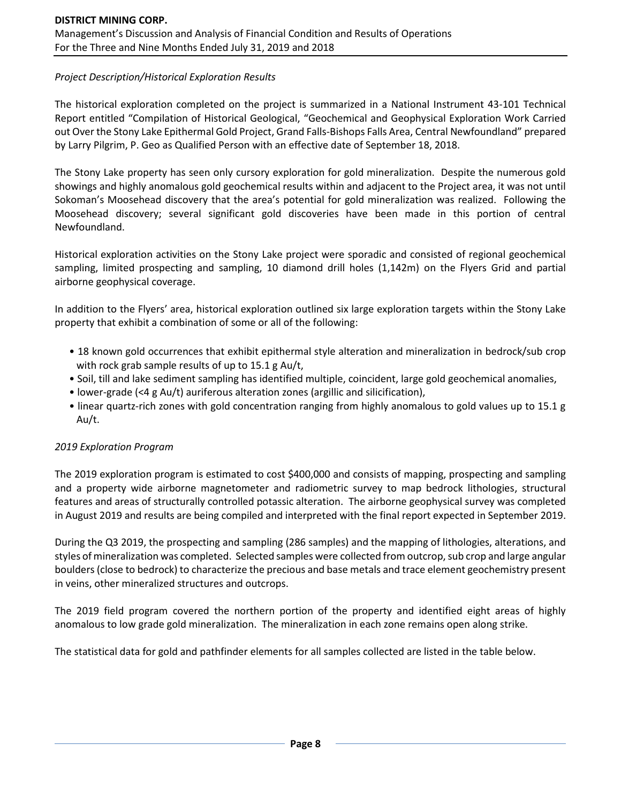### *Project Description/Historical Exploration Results*

The historical exploration completed on the project is summarized in a National Instrument 43-101 Technical Report entitled "Compilation of Historical Geological, "Geochemical and Geophysical Exploration Work Carried out Over the Stony Lake Epithermal Gold Project, Grand Falls-Bishops Falls Area, Central Newfoundland" prepared by Larry Pilgrim, P. Geo as Qualified Person with an effective date of September 18, 2018.

The Stony Lake property has seen only cursory exploration for gold mineralization. Despite the numerous gold showings and highly anomalous gold geochemical results within and adjacent to the Project area, it was not until Sokoman's Moosehead discovery that the area's potential for gold mineralization was realized. Following the Moosehead discovery; several significant gold discoveries have been made in this portion of central Newfoundland.

Historical exploration activities on the Stony Lake project were sporadic and consisted of regional geochemical sampling, limited prospecting and sampling, 10 diamond drill holes (1,142m) on the Flyers Grid and partial airborne geophysical coverage.

In addition to the Flyers' area, historical exploration outlined six large exploration targets within the Stony Lake property that exhibit a combination of some or all of the following:

- 18 known gold occurrences that exhibit epithermal style alteration and mineralization in bedrock/sub crop with rock grab sample results of up to 15.1 g Au/t,
- Soil, till and lake sediment sampling has identified multiple, coincident, large gold geochemical anomalies,
- lower-grade (<4 g Au/t) auriferous alteration zones (argillic and silicification),
- linear quartz-rich zones with gold concentration ranging from highly anomalous to gold values up to 15.1 g Au/t.

### *2019 Exploration Program*

The 2019 exploration program is estimated to cost \$400,000 and consists of mapping, prospecting and sampling and a property wide airborne magnetometer and radiometric survey to map bedrock lithologies, structural features and areas of structurally controlled potassic alteration. The airborne geophysical survey was completed in August 2019 and results are being compiled and interpreted with the final report expected in September 2019.

During the Q3 2019, the prospecting and sampling (286 samples) and the mapping of lithologies, alterations, and styles of mineralization was completed. Selected samples were collected from outcrop, sub crop and large angular boulders (close to bedrock) to characterize the precious and base metals and trace element geochemistry present in veins, other mineralized structures and outcrops.

The 2019 field program covered the northern portion of the property and identified eight areas of highly anomalous to low grade gold mineralization. The mineralization in each zone remains open along strike.

The statistical data for gold and pathfinder elements for all samples collected are listed in the table below.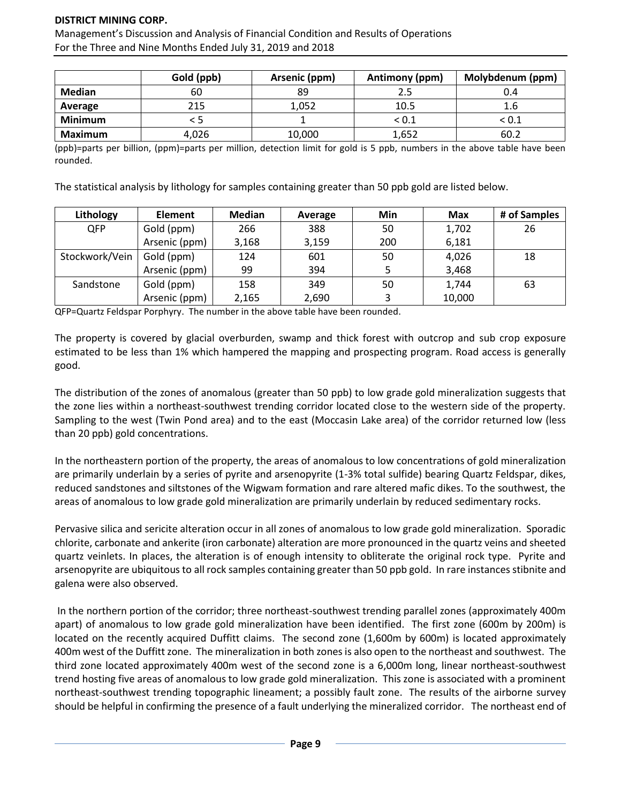Management's Discussion and Analysis of Financial Condition and Results of Operations For the Three and Nine Months Ended July 31, 2019 and 2018

|                | Gold (ppb) | Arsenic (ppm) | Antimony (ppm) | Molybdenum (ppm) |
|----------------|------------|---------------|----------------|------------------|
| Median         | 60         | 89            |                | 0.4              |
| Average        | 215        | 1,052         | 10.5           | 1.6              |
| <b>Minimum</b> |            |               | $<$ 0.1 $\,$   | < 0.1            |
| <b>Maximum</b> | 4,026      | 10,000        | 1,652          | 60.2             |

(ppb)=parts per billion, (ppm)=parts per million, detection limit for gold is 5 ppb, numbers in the above table have been rounded.

The statistical analysis by lithology for samples containing greater than 50 ppb gold are listed below.

| Lithology      | <b>Element</b> | Median | Average | Min | <b>Max</b> | # of Samples |
|----------------|----------------|--------|---------|-----|------------|--------------|
| <b>QFP</b>     | Gold (ppm)     | 266    | 388     | 50  | 1,702      | 26           |
|                | Arsenic (ppm)  | 3,168  | 3,159   | 200 | 6,181      |              |
| Stockwork/Vein | Gold (ppm)     | 124    | 601     | 50  | 4,026      | 18           |
|                | Arsenic (ppm)  | 99     | 394     |     | 3,468      |              |
| Sandstone      | Gold (ppm)     | 158    | 349     | 50  | 1,744      | 63           |
|                | Arsenic (ppm)  | 2,165  | 2,690   |     | 10,000     |              |

QFP=Quartz Feldspar Porphyry. The number in the above table have been rounded.

The property is covered by glacial overburden, swamp and thick forest with outcrop and sub crop exposure estimated to be less than 1% which hampered the mapping and prospecting program. Road access is generally good.

The distribution of the zones of anomalous (greater than 50 ppb) to low grade gold mineralization suggests that the zone lies within a northeast-southwest trending corridor located close to the western side of the property. Sampling to the west (Twin Pond area) and to the east (Moccasin Lake area) of the corridor returned low (less than 20 ppb) gold concentrations.

In the northeastern portion of the property, the areas of anomalous to low concentrations of gold mineralization are primarily underlain by a series of pyrite and arsenopyrite (1-3% total sulfide) bearing Quartz Feldspar, dikes, reduced sandstones and siltstones of the Wigwam formation and rare altered mafic dikes. To the southwest, the areas of anomalous to low grade gold mineralization are primarily underlain by reduced sedimentary rocks.

Pervasive silica and sericite alteration occur in all zones of anomalous to low grade gold mineralization. Sporadic chlorite, carbonate and ankerite (iron carbonate) alteration are more pronounced in the quartz veins and sheeted quartz veinlets. In places, the alteration is of enough intensity to obliterate the original rock type. Pyrite and arsenopyrite are ubiquitous to all rock samples containing greater than 50 ppb gold. In rare instances stibnite and galena were also observed.

In the northern portion of the corridor; three northeast-southwest trending parallel zones (approximately 400m apart) of anomalous to low grade gold mineralization have been identified. The first zone (600m by 200m) is located on the recently acquired Duffitt claims. The second zone (1,600m by 600m) is located approximately 400m west of the Duffitt zone. The mineralization in both zones is also open to the northeast and southwest. The third zone located approximately 400m west of the second zone is a 6,000m long, linear northeast-southwest trend hosting five areas of anomalous to low grade gold mineralization. This zone is associated with a prominent northeast-southwest trending topographic lineament; a possibly fault zone. The results of the airborne survey should be helpful in confirming the presence of a fault underlying the mineralized corridor. The northeast end of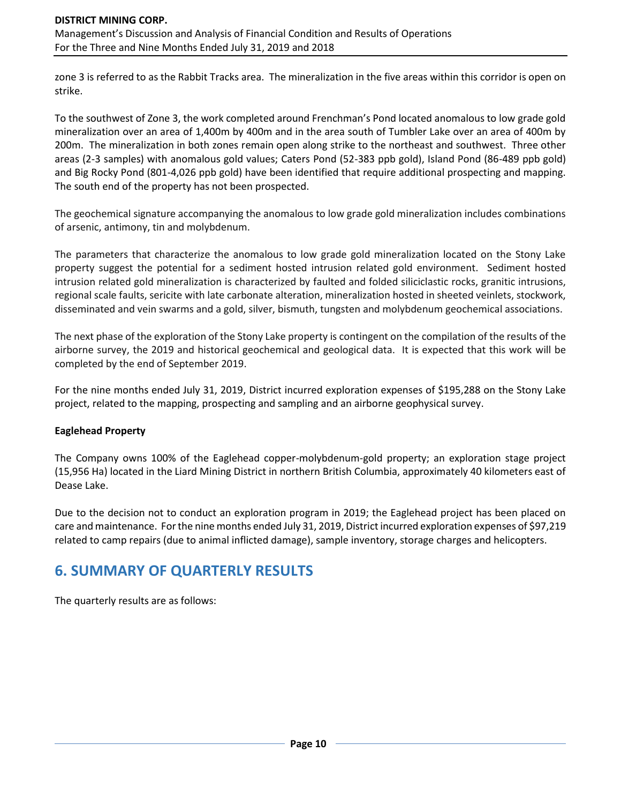zone 3 is referred to as the Rabbit Tracks area. The mineralization in the five areas within this corridor is open on strike.

To the southwest of Zone 3, the work completed around Frenchman's Pond located anomalous to low grade gold mineralization over an area of 1,400m by 400m and in the area south of Tumbler Lake over an area of 400m by 200m. The mineralization in both zones remain open along strike to the northeast and southwest. Three other areas (2-3 samples) with anomalous gold values; Caters Pond (52-383 ppb gold), Island Pond (86-489 ppb gold) and Big Rocky Pond (801-4,026 ppb gold) have been identified that require additional prospecting and mapping. The south end of the property has not been prospected.

The geochemical signature accompanying the anomalous to low grade gold mineralization includes combinations of arsenic, antimony, tin and molybdenum.

The parameters that characterize the anomalous to low grade gold mineralization located on the Stony Lake property suggest the potential for a sediment hosted intrusion related gold environment. Sediment hosted intrusion related gold mineralization is characterized by faulted and folded siliciclastic rocks, granitic intrusions, regional scale faults, sericite with late carbonate alteration, mineralization hosted in sheeted veinlets, stockwork, disseminated and vein swarms and a gold, silver, bismuth, tungsten and molybdenum geochemical associations.

The next phase of the exploration of the Stony Lake property is contingent on the compilation of the results of the airborne survey, the 2019 and historical geochemical and geological data. It is expected that this work will be completed by the end of September 2019.

For the nine months ended July 31, 2019, District incurred exploration expenses of \$195,288 on the Stony Lake project, related to the mapping, prospecting and sampling and an airborne geophysical survey.

### **Eaglehead Property**

The Company owns 100% of the Eaglehead copper-molybdenum-gold property; an exploration stage project (15,956 Ha) located in the Liard Mining District in northern British Columbia, approximately 40 kilometers east of Dease Lake.

Due to the decision not to conduct an exploration program in 2019; the Eaglehead project has been placed on care and maintenance. Forthe nine months ended July 31, 2019, District incurred exploration expenses of \$97,219 related to camp repairs (due to animal inflicted damage), sample inventory, storage charges and helicopters.

## **6. SUMMARY OF QUARTERLY RESULTS**

The quarterly results are as follows: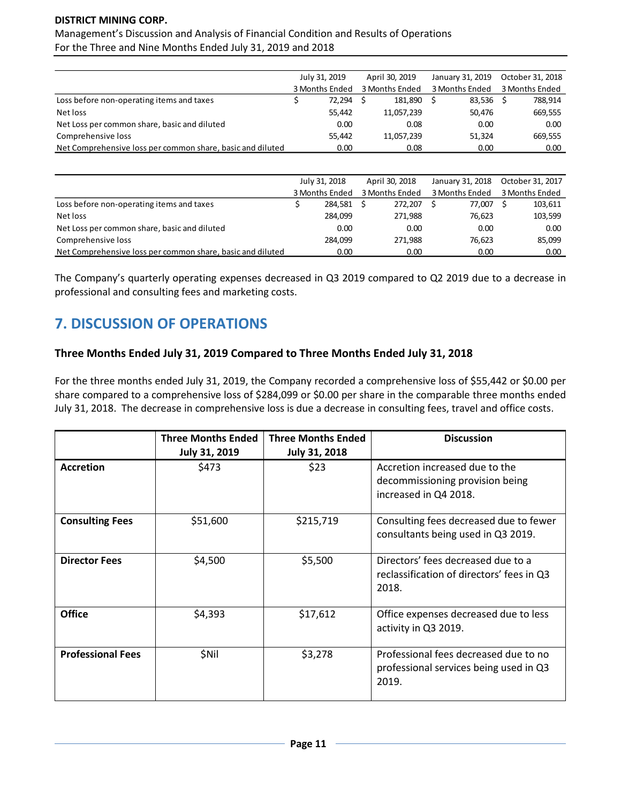Management's Discussion and Analysis of Financial Condition and Results of Operations For the Three and Nine Months Ended July 31, 2019 and 2018

|                                                            | July 31, 2019 |                | April 30, 2019<br>3 Months Ended |            | January 31, 2019<br>3 Months Ended |        |                | October 31, 2018 |
|------------------------------------------------------------|---------------|----------------|----------------------------------|------------|------------------------------------|--------|----------------|------------------|
|                                                            |               | 3 Months Ended |                                  |            |                                    |        | 3 Months Ended |                  |
| Loss before non-operating items and taxes                  |               | 72.294         |                                  | 181.890    |                                    | 83.536 |                | 788,914          |
| Net loss                                                   |               | 55.442         |                                  | 11,057,239 |                                    | 50,476 |                | 669,555          |
| Net Loss per common share, basic and diluted               |               | 0.00           |                                  | 0.08       |                                    | 0.00   |                | 0.00             |
| Comprehensive loss                                         |               | 55,442         |                                  | 11,057,239 |                                    | 51,324 |                | 669,555          |
| Net Comprehensive loss per common share, basic and diluted |               | 0.00           |                                  | 0.08       |                                    | 0.00   |                | 0.00             |

|                                                            | July 31, 2018 |                |                | April 30, 2018 | January 31, 2018 |        |                | October 31, 2017 |
|------------------------------------------------------------|---------------|----------------|----------------|----------------|------------------|--------|----------------|------------------|
|                                                            |               | 3 Months Ended | 3 Months Ended |                | 3 Months Ended   |        | 3 Months Ended |                  |
| Loss before non-operating items and taxes                  |               | 284.581        |                | 272.207        |                  | 77.007 |                | 103,611          |
| Net loss                                                   |               | 284.099        |                | 271.988        |                  | 76.623 |                | 103,599          |
| Net Loss per common share, basic and diluted               |               | 0.00           |                | 0.00           |                  | 0.00   |                | 0.00             |
| Comprehensive loss                                         |               | 284.099        |                | 271.988        |                  | 76.623 |                | 85,099           |
| Net Comprehensive loss per common share, basic and diluted |               | 0.00           |                | 0.00           |                  | 0.00   |                | 0.00             |

The Company's quarterly operating expenses decreased in Q3 2019 compared to Q2 2019 due to a decrease in professional and consulting fees and marketing costs.

# **7. DISCUSSION OF OPERATIONS**

## **Three Months Ended July 31, 2019 Compared to Three Months Ended July 31, 2018**

For the three months ended July 31, 2019, the Company recorded a comprehensive loss of \$55,442 or \$0.00 per share compared to a comprehensive loss of \$284,099 or \$0.00 per share in the comparable three months ended July 31, 2018. The decrease in comprehensive loss is due a decrease in consulting fees, travel and office costs.

|                          | <b>Three Months Ended</b><br><b>July 31, 2019</b> | <b>Three Months Ended</b><br><b>July 31, 2018</b> | <b>Discussion</b>                                                                          |
|--------------------------|---------------------------------------------------|---------------------------------------------------|--------------------------------------------------------------------------------------------|
| <b>Accretion</b>         | \$473                                             | \$23                                              | Accretion increased due to the<br>decommissioning provision being<br>increased in Q4 2018. |
| <b>Consulting Fees</b>   | \$51,600                                          | \$215,719                                         | Consulting fees decreased due to fewer<br>consultants being used in Q3 2019.               |
| <b>Director Fees</b>     | \$4,500                                           | \$5,500                                           | Directors' fees decreased due to a<br>reclassification of directors' fees in Q3<br>2018.   |
| <b>Office</b>            | \$4,393                                           | \$17,612                                          | Office expenses decreased due to less<br>activity in Q3 2019.                              |
| <b>Professional Fees</b> | \$Nil                                             | \$3,278                                           | Professional fees decreased due to no<br>professional services being used in Q3<br>2019.   |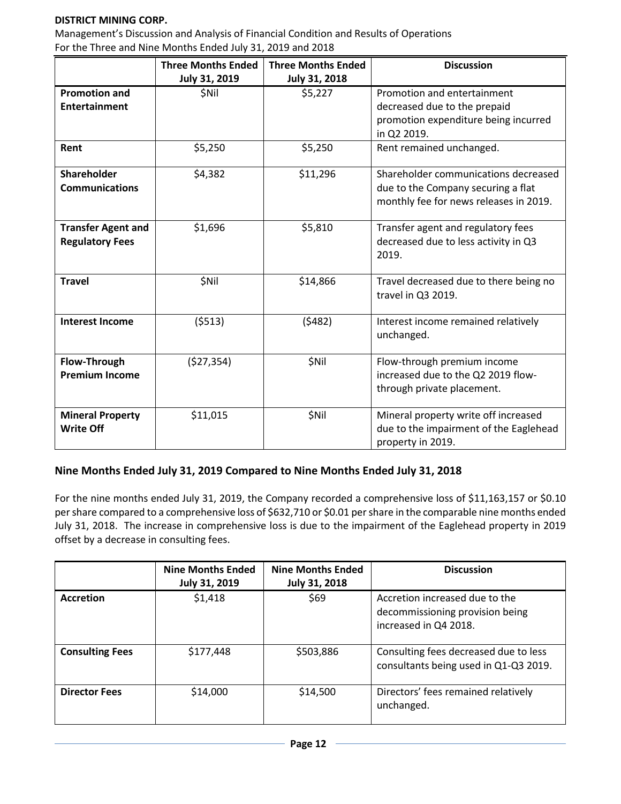Management's Discussion and Analysis of Financial Condition and Results of Operations For the Three and Nine Months Ended July 31, 2019 and 2018

|                                                     | <b>Three Months Ended</b><br>July 31, 2019 | <b>Three Months Ended</b><br><b>July 31, 2018</b> | <b>Discussion</b>                                                                                                    |
|-----------------------------------------------------|--------------------------------------------|---------------------------------------------------|----------------------------------------------------------------------------------------------------------------------|
| <b>Promotion and</b><br><b>Entertainment</b>        | <b>SNil</b>                                | \$5,227                                           | Promotion and entertainment<br>decreased due to the prepaid<br>promotion expenditure being incurred<br>in Q2 2019.   |
| Rent                                                | \$5,250                                    | \$5,250                                           | Rent remained unchanged.                                                                                             |
| Shareholder<br><b>Communications</b>                | \$4,382                                    | \$11,296                                          | Shareholder communications decreased<br>due to the Company securing a flat<br>monthly fee for news releases in 2019. |
| <b>Transfer Agent and</b><br><b>Regulatory Fees</b> | \$1,696                                    | \$5,810                                           | Transfer agent and regulatory fees<br>decreased due to less activity in Q3<br>2019.                                  |
| <b>Travel</b>                                       | <b>\$Nil</b>                               | \$14,866                                          | Travel decreased due to there being no<br>travel in Q3 2019.                                                         |
| <b>Interest Income</b>                              | (5513)                                     | (5482)                                            | Interest income remained relatively<br>unchanged.                                                                    |
| <b>Flow-Through</b><br><b>Premium Income</b>        | (527, 354)                                 | \$Nil                                             | Flow-through premium income<br>increased due to the Q2 2019 flow-<br>through private placement.                      |
| <b>Mineral Property</b><br><b>Write Off</b>         | \$11,015                                   | \$Nil                                             | Mineral property write off increased<br>due to the impairment of the Eaglehead<br>property in 2019.                  |

### **Nine Months Ended July 31, 2019 Compared to Nine Months Ended July 31, 2018**

For the nine months ended July 31, 2019, the Company recorded a comprehensive loss of \$11,163,157 or \$0.10 per share compared to a comprehensive loss of \$632,710 or \$0.01 per share in the comparable nine months ended July 31, 2018. The increase in comprehensive loss is due to the impairment of the Eaglehead property in 2019 offset by a decrease in consulting fees.

|                        | <b>Nine Months Ended</b><br><b>July 31, 2019</b> | <b>Nine Months Ended</b><br><b>July 31, 2018</b> | <b>Discussion</b>                                                                          |
|------------------------|--------------------------------------------------|--------------------------------------------------|--------------------------------------------------------------------------------------------|
| Accretion              | \$1,418                                          | \$69                                             | Accretion increased due to the<br>decommissioning provision being<br>increased in Q4 2018. |
| <b>Consulting Fees</b> | \$177,448                                        | \$503,886                                        | Consulting fees decreased due to less<br>consultants being used in Q1-Q3 2019.             |
| <b>Director Fees</b>   | \$14,000                                         | \$14,500                                         | Directors' fees remained relatively<br>unchanged.                                          |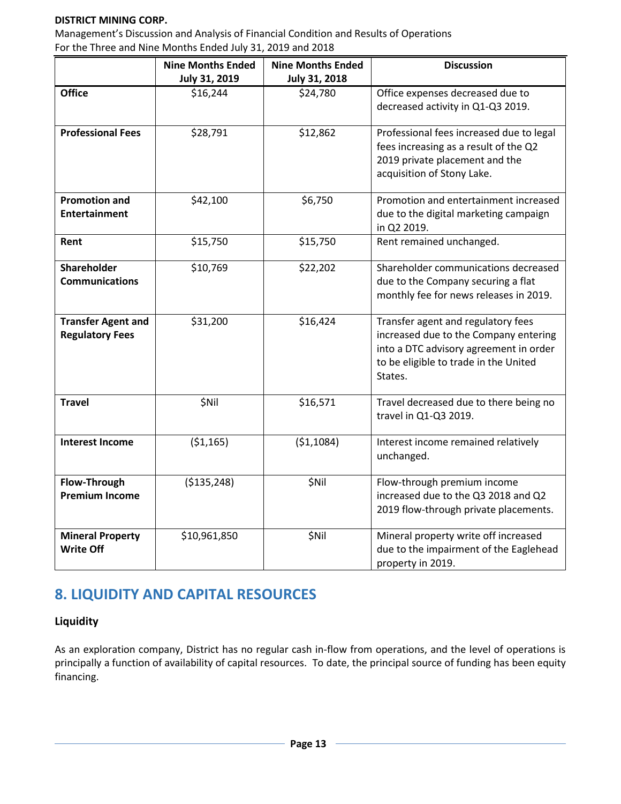Management's Discussion and Analysis of Financial Condition and Results of Operations For the Three and Nine Months Ended July 31, 2019 and 2018

|                           | <b>Nine Months Ended</b> | <b>Nine Months Ended</b> | <b>Discussion</b>                        |
|---------------------------|--------------------------|--------------------------|------------------------------------------|
|                           | July 31, 2019            | July 31, 2018            |                                          |
| <b>Office</b>             | \$16,244                 | \$24,780                 | Office expenses decreased due to         |
|                           |                          |                          | decreased activity in Q1-Q3 2019.        |
|                           |                          |                          |                                          |
| <b>Professional Fees</b>  | \$28,791                 | \$12,862                 | Professional fees increased due to legal |
|                           |                          |                          | fees increasing as a result of the Q2    |
|                           |                          |                          | 2019 private placement and the           |
|                           |                          |                          | acquisition of Stony Lake.               |
|                           |                          |                          |                                          |
| <b>Promotion and</b>      | \$42,100                 | \$6,750                  | Promotion and entertainment increased    |
| <b>Entertainment</b>      |                          |                          | due to the digital marketing campaign    |
|                           |                          |                          | in Q2 2019.                              |
| Rent                      | \$15,750                 | \$15,750                 | Rent remained unchanged.                 |
|                           |                          |                          |                                          |
| Shareholder               | \$10,769                 | \$22,202                 | Shareholder communications decreased     |
| <b>Communications</b>     |                          |                          | due to the Company securing a flat       |
|                           |                          |                          | monthly fee for news releases in 2019.   |
|                           |                          |                          |                                          |
| <b>Transfer Agent and</b> | \$31,200                 | \$16,424                 | Transfer agent and regulatory fees       |
| <b>Regulatory Fees</b>    |                          |                          | increased due to the Company entering    |
|                           |                          |                          | into a DTC advisory agreement in order   |
|                           |                          |                          | to be eligible to trade in the United    |
|                           |                          |                          | States.                                  |
|                           |                          |                          |                                          |
| <b>Travel</b>             | \$Nil                    | \$16,571                 | Travel decreased due to there being no   |
|                           |                          |                          | travel in Q1-Q3 2019.                    |
|                           |                          |                          |                                          |
| <b>Interest Income</b>    | ( \$1,165)               | (51, 1084)               | Interest income remained relatively      |
|                           |                          |                          | unchanged.                               |
|                           |                          |                          |                                          |
| Flow-Through              | ( \$135, 248)            | \$Nil                    | Flow-through premium income              |
| <b>Premium Income</b>     |                          |                          | increased due to the Q3 2018 and Q2      |
|                           |                          |                          | 2019 flow-through private placements.    |
| <b>Mineral Property</b>   | \$10,961,850             | \$Nil                    | Mineral property write off increased     |
| <b>Write Off</b>          |                          |                          | due to the impairment of the Eaglehead   |
|                           |                          |                          |                                          |
|                           |                          |                          | property in 2019.                        |

## **8. LIQUIDITY AND CAPITAL RESOURCES**

## **Liquidity**

As an exploration company, District has no regular cash in-flow from operations, and the level of operations is principally a function of availability of capital resources. To date, the principal source of funding has been equity financing.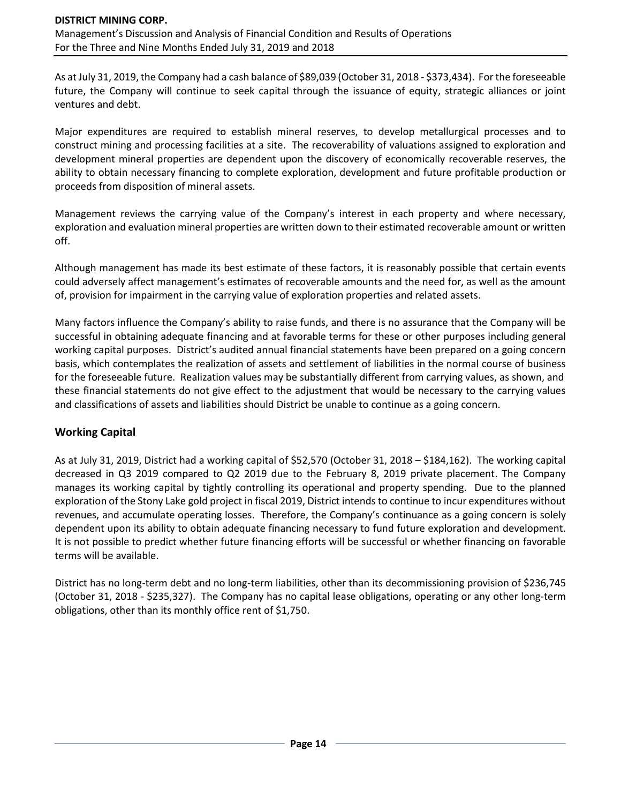As at July 31, 2019, the Company had a cash balance of \$89,039 (October 31, 2018 - \$373,434). For the foreseeable future, the Company will continue to seek capital through the issuance of equity, strategic alliances or joint ventures and debt.

Major expenditures are required to establish mineral reserves, to develop metallurgical processes and to construct mining and processing facilities at a site. The recoverability of valuations assigned to exploration and development mineral properties are dependent upon the discovery of economically recoverable reserves, the ability to obtain necessary financing to complete exploration, development and future profitable production or proceeds from disposition of mineral assets.

Management reviews the carrying value of the Company's interest in each property and where necessary, exploration and evaluation mineral properties are written down to their estimated recoverable amount or written off.

Although management has made its best estimate of these factors, it is reasonably possible that certain events could adversely affect management's estimates of recoverable amounts and the need for, as well as the amount of, provision for impairment in the carrying value of exploration properties and related assets.

Many factors influence the Company's ability to raise funds, and there is no assurance that the Company will be successful in obtaining adequate financing and at favorable terms for these or other purposes including general working capital purposes. District's audited annual financial statements have been prepared on a going concern basis, which contemplates the realization of assets and settlement of liabilities in the normal course of business for the foreseeable future. Realization values may be substantially different from carrying values, as shown, and these financial statements do not give effect to the adjustment that would be necessary to the carrying values and classifications of assets and liabilities should District be unable to continue as a going concern.

## **Working Capital**

As at July 31, 2019, District had a working capital of \$52,570 (October 31, 2018 – \$184,162). The working capital decreased in Q3 2019 compared to Q2 2019 due to the February 8, 2019 private placement. The Company manages its working capital by tightly controlling its operational and property spending. Due to the planned exploration of the Stony Lake gold project in fiscal 2019, District intends to continue to incur expenditures without revenues, and accumulate operating losses. Therefore, the Company's continuance as a going concern is solely dependent upon its ability to obtain adequate financing necessary to fund future exploration and development. It is not possible to predict whether future financing efforts will be successful or whether financing on favorable terms will be available.

District has no long-term debt and no long-term liabilities, other than its decommissioning provision of \$236,745 (October 31, 2018 - \$235,327). The Company has no capital lease obligations, operating or any other long-term obligations, other than its monthly office rent of \$1,750.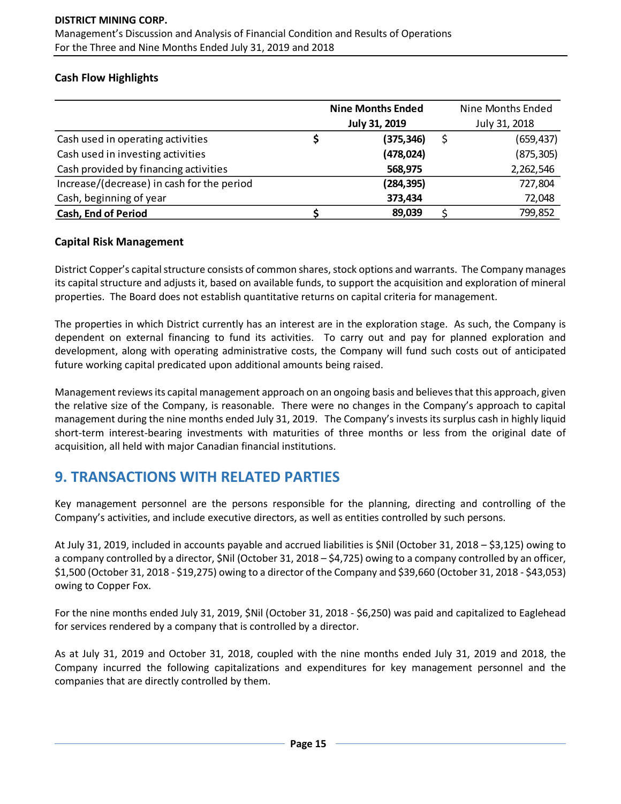## **Cash Flow Highlights**

|                                            | <b>Nine Months Ended</b> | Nine Months Ended |
|--------------------------------------------|--------------------------|-------------------|
|                                            | <b>July 31, 2019</b>     | July 31, 2018     |
| Cash used in operating activities          | (375, 346)               | (659, 437)        |
| Cash used in investing activities          | (478, 024)               | (875, 305)        |
| Cash provided by financing activities      | 568,975                  | 2,262,546         |
| Increase/(decrease) in cash for the period | (284, 395)               | 727,804           |
| Cash, beginning of year                    | 373,434                  | 72,048            |
| <b>Cash, End of Period</b>                 | 89,039                   | 799,852           |

### **Capital Risk Management**

District Copper's capital structure consists of common shares, stock options and warrants. The Company manages its capital structure and adjusts it, based on available funds, to support the acquisition and exploration of mineral properties. The Board does not establish quantitative returns on capital criteria for management.

The properties in which District currently has an interest are in the exploration stage. As such, the Company is dependent on external financing to fund its activities. To carry out and pay for planned exploration and development, along with operating administrative costs, the Company will fund such costs out of anticipated future working capital predicated upon additional amounts being raised.

Management reviews its capital management approach on an ongoing basis and believes that this approach, given the relative size of the Company, is reasonable. There were no changes in the Company's approach to capital management during the nine months ended July 31, 2019. The Company's invests its surplus cash in highly liquid short-term interest-bearing investments with maturities of three months or less from the original date of acquisition, all held with major Canadian financial institutions.

## **9. TRANSACTIONS WITH RELATED PARTIES**

Key management personnel are the persons responsible for the planning, directing and controlling of the Company's activities, and include executive directors, as well as entities controlled by such persons.

At July 31, 2019, included in accounts payable and accrued liabilities is \$Nil (October 31, 2018 – \$3,125) owing to a company controlled by a director, \$Nil (October 31, 2018 – \$4,725) owing to a company controlled by an officer, \$1,500 (October 31, 2018 - \$19,275) owing to a director of the Company and \$39,660 (October 31, 2018 - \$43,053) owing to Copper Fox.

For the nine months ended July 31, 2019, \$Nil (October 31, 2018 - \$6,250) was paid and capitalized to Eaglehead for services rendered by a company that is controlled by a director.

As at July 31, 2019 and October 31, 2018, coupled with the nine months ended July 31, 2019 and 2018, the Company incurred the following capitalizations and expenditures for key management personnel and the companies that are directly controlled by them.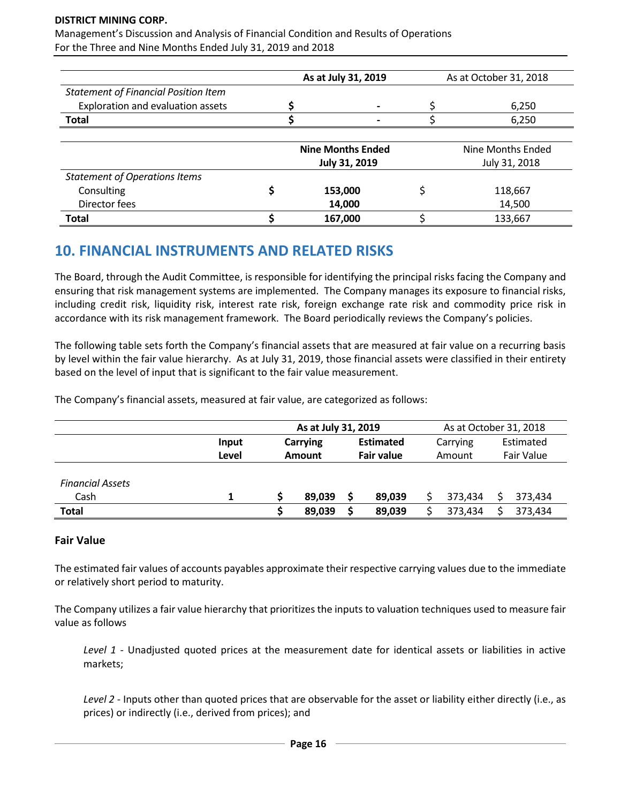Management's Discussion and Analysis of Financial Condition and Results of Operations For the Three and Nine Months Ended July 31, 2019 and 2018

|                                             | As at July 31, 2019      | As at October 31, 2018 |                   |  |
|---------------------------------------------|--------------------------|------------------------|-------------------|--|
| <b>Statement of Financial Position Item</b> |                          |                        |                   |  |
| Exploration and evaluation assets           |                          |                        | 6,250             |  |
| <b>Total</b>                                |                          |                        | 6,250             |  |
|                                             | <b>Nine Months Ended</b> |                        | Nine Months Ended |  |
|                                             | July 31, 2019            |                        | July 31, 2018     |  |
| <b>Statement of Operations Items</b>        |                          |                        |                   |  |
| Consulting                                  | 153,000                  |                        | 118,667           |  |
| Director fees                               | 14,000                   |                        | 14,500            |  |
| <b>Total</b>                                | 167,000                  |                        | 133,667           |  |

## **10. FINANCIAL INSTRUMENTS AND RELATED RISKS**

The Board, through the Audit Committee, is responsible for identifying the principal risks facing the Company and ensuring that risk management systems are implemented. The Company manages its exposure to financial risks, including credit risk, liquidity risk, interest rate risk, foreign exchange rate risk and commodity price risk in accordance with its risk management framework. The Board periodically reviews the Company's policies.

The following table sets forth the Company's financial assets that are measured at fair value on a recurring basis by level within the fair value hierarchy. As at July 31, 2019, those financial assets were classified in their entirety based on the level of input that is significant to the fair value measurement.

The Company's financial assets, measured at fair value, are categorized as follows:

|                         |       | As at July 31, 2019 |        |                   |        | As at October 31, 2018 |         |            |         |
|-------------------------|-------|---------------------|--------|-------------------|--------|------------------------|---------|------------|---------|
|                         | Input | <b>Carrying</b>     |        | <b>Estimated</b>  |        | Carrying               |         | Estimated  |         |
|                         | Level | Amount              |        | <b>Fair value</b> |        | Amount                 |         | Fair Value |         |
|                         |       |                     |        |                   |        |                        |         |            |         |
| <b>Financial Assets</b> |       |                     |        |                   |        |                        |         |            |         |
| Cash                    |       |                     | 89,039 |                   | 89.039 |                        | 373.434 |            | 373.434 |
| <b>Total</b>            |       |                     | 89,039 |                   | 89,039 |                        | 373,434 |            | 373,434 |

#### **Fair Value**

The estimated fair values of accounts payables approximate their respective carrying values due to the immediate or relatively short period to maturity.

The Company utilizes a fair value hierarchy that prioritizes the inputs to valuation techniques used to measure fair value as follows

*Level 1* - Unadjusted quoted prices at the measurement date for identical assets or liabilities in active markets;

*Level 2* - Inputs other than quoted prices that are observable for the asset or liability either directly (i.e., as prices) or indirectly (i.e., derived from prices); and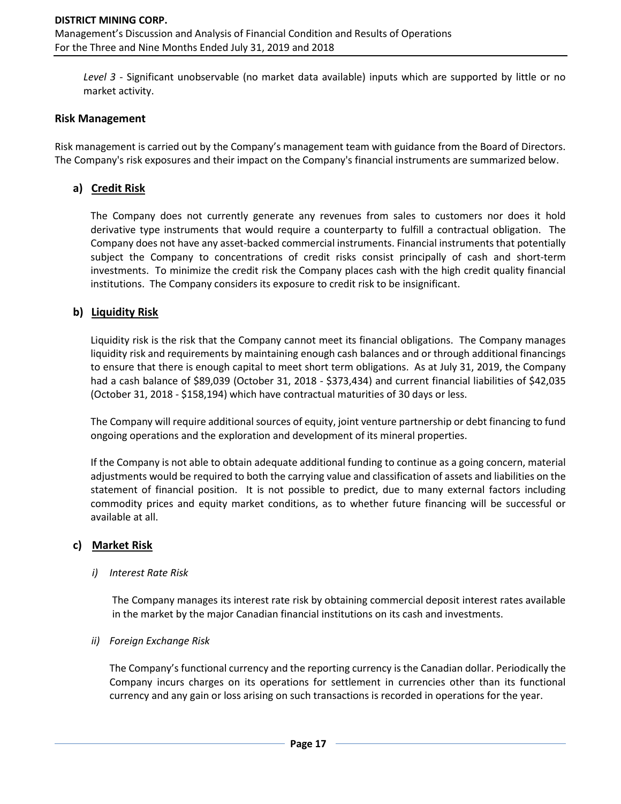*Level 3* - Significant unobservable (no market data available) inputs which are supported by little or no market activity.

#### **Risk Management**

Risk management is carried out by the Company's management team with guidance from the Board of Directors. The Company's risk exposures and their impact on the Company's financial instruments are summarized below.

## **a) Credit Risk**

The Company does not currently generate any revenues from sales to customers nor does it hold derivative type instruments that would require a counterparty to fulfill a contractual obligation. The Company does not have any asset-backed commercial instruments. Financial instruments that potentially subject the Company to concentrations of credit risks consist principally of cash and short-term investments. To minimize the credit risk the Company places cash with the high credit quality financial institutions. The Company considers its exposure to credit risk to be insignificant.

### **b) Liquidity Risk**

Liquidity risk is the risk that the Company cannot meet its financial obligations. The Company manages liquidity risk and requirements by maintaining enough cash balances and or through additional financings to ensure that there is enough capital to meet short term obligations. As at July 31, 2019, the Company had a cash balance of \$89,039 (October 31, 2018 - \$373,434) and current financial liabilities of \$42,035 (October 31, 2018 - \$158,194) which have contractual maturities of 30 days or less.

The Company will require additional sources of equity, joint venture partnership or debt financing to fund ongoing operations and the exploration and development of its mineral properties.

If the Company is not able to obtain adequate additional funding to continue as a going concern, material adjustments would be required to both the carrying value and classification of assets and liabilities on the statement of financial position. It is not possible to predict, due to many external factors including commodity prices and equity market conditions, as to whether future financing will be successful or available at all.

#### **c) Market Risk**

#### *i) Interest Rate Risk*

The Company manages its interest rate risk by obtaining commercial deposit interest rates available in the market by the major Canadian financial institutions on its cash and investments.

#### *ii) Foreign Exchange Risk*

The Company's functional currency and the reporting currency is the Canadian dollar. Periodically the Company incurs charges on its operations for settlement in currencies other than its functional currency and any gain or loss arising on such transactions is recorded in operations for the year.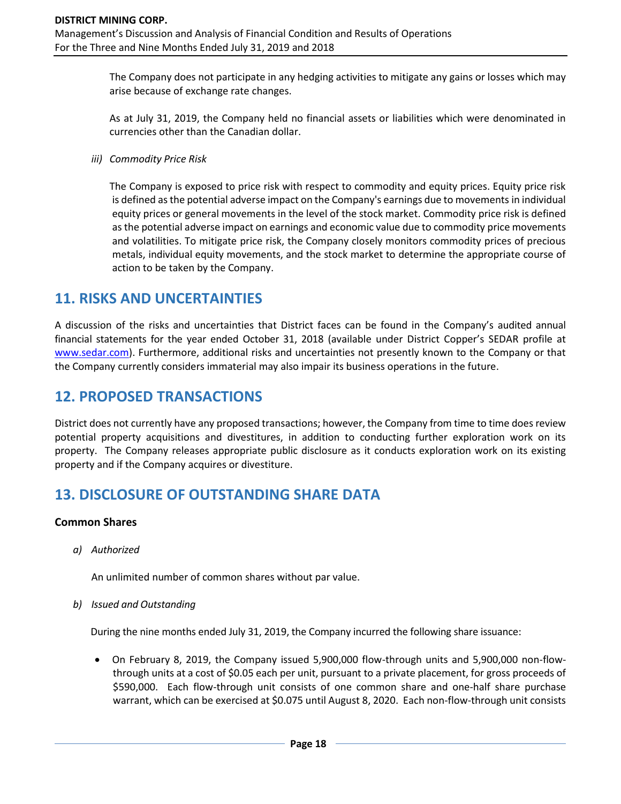The Company does not participate in any hedging activities to mitigate any gains or losses which may arise because of exchange rate changes.

As at July 31, 2019, the Company held no financial assets or liabilities which were denominated in currencies other than the Canadian dollar.

*iii) Commodity Price Risk*

The Company is exposed to price risk with respect to commodity and equity prices. Equity price risk is defined as the potential adverse impact on the Company's earnings due to movements in individual equity prices or general movements in the level of the stock market. Commodity price risk is defined as the potential adverse impact on earnings and economic value due to commodity price movements and volatilities. To mitigate price risk, the Company closely monitors commodity prices of precious metals, individual equity movements, and the stock market to determine the appropriate course of action to be taken by the Company.

## **11. RISKS AND UNCERTAINTIES**

A discussion of the risks and uncertainties that District faces can be found in the Company's audited annual financial statements for the year ended October 31, 2018 (available under District Copper's SEDAR profile at [www.sedar.com\)](http://www.sedar.com/). Furthermore, additional risks and uncertainties not presently known to the Company or that the Company currently considers immaterial may also impair its business operations in the future.

# **12. PROPOSED TRANSACTIONS**

District does not currently have any proposed transactions; however, the Company from time to time does review potential property acquisitions and divestitures, in addition to conducting further exploration work on its property. The Company releases appropriate public disclosure as it conducts exploration work on its existing property and if the Company acquires or divestiture.

## **13. DISCLOSURE OF OUTSTANDING SHARE DATA**

### **Common Shares**

*a) Authorized*

An unlimited number of common shares without par value.

*b) Issued and Outstanding*

During the nine months ended July 31, 2019, the Company incurred the following share issuance:

• On February 8, 2019, the Company issued 5,900,000 flow-through units and 5,900,000 non-flowthrough units at a cost of \$0.05 each per unit, pursuant to a private placement, for gross proceeds of \$590,000. Each flow-through unit consists of one common share and one-half share purchase warrant, which can be exercised at \$0.075 until August 8, 2020. Each non-flow-through unit consists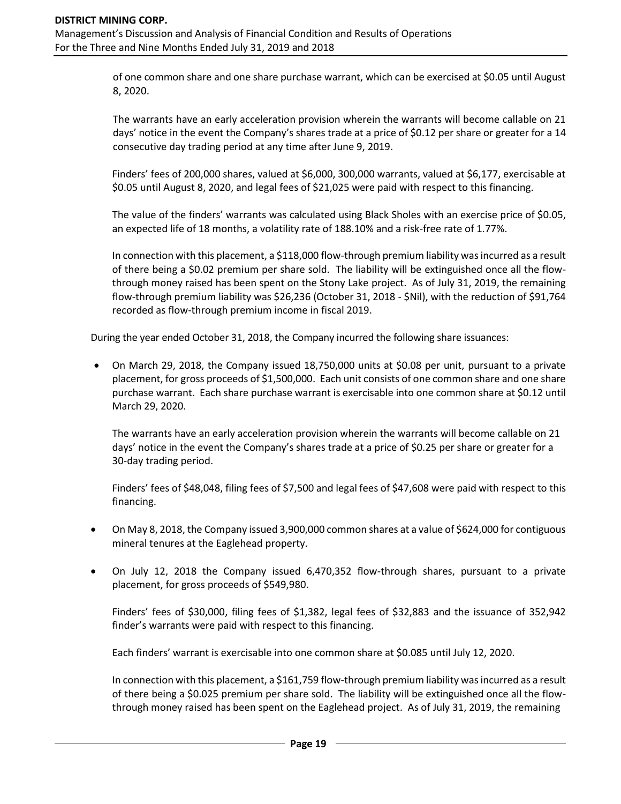of one common share and one share purchase warrant, which can be exercised at \$0.05 until August 8, 2020.

The warrants have an early acceleration provision wherein the warrants will become callable on 21 days' notice in the event the Company's shares trade at a price of \$0.12 per share or greater for a 14 consecutive day trading period at any time after June 9, 2019.

Finders' fees of 200,000 shares, valued at \$6,000, 300,000 warrants, valued at \$6,177, exercisable at \$0.05 until August 8, 2020, and legal fees of \$21,025 were paid with respect to this financing.

The value of the finders' warrants was calculated using Black Sholes with an exercise price of \$0.05, an expected life of 18 months, a volatility rate of 188.10% and a risk-free rate of 1.77%.

In connection with this placement, a \$118,000 flow-through premium liability was incurred as a result of there being a \$0.02 premium per share sold. The liability will be extinguished once all the flowthrough money raised has been spent on the Stony Lake project. As of July 31, 2019, the remaining flow-through premium liability was \$26,236 (October 31, 2018 - \$Nil), with the reduction of \$91,764 recorded as flow-through premium income in fiscal 2019.

During the year ended October 31, 2018, the Company incurred the following share issuances:

• On March 29, 2018, the Company issued 18,750,000 units at \$0.08 per unit, pursuant to a private placement, for gross proceeds of \$1,500,000. Each unit consists of one common share and one share purchase warrant. Each share purchase warrant is exercisable into one common share at \$0.12 until March 29, 2020.

The warrants have an early acceleration provision wherein the warrants will become callable on 21 days' notice in the event the Company's shares trade at a price of \$0.25 per share or greater for a 30-day trading period.

Finders' fees of \$48,048, filing fees of \$7,500 and legal fees of \$47,608 were paid with respect to this financing.

- On May 8, 2018, the Company issued 3,900,000 common shares at a value of \$624,000 for contiguous mineral tenures at the Eaglehead property.
- On July 12, 2018 the Company issued 6,470,352 flow-through shares, pursuant to a private placement, for gross proceeds of \$549,980.

Finders' fees of \$30,000, filing fees of \$1,382, legal fees of \$32,883 and the issuance of 352,942 finder's warrants were paid with respect to this financing.

Each finders' warrant is exercisable into one common share at \$0.085 until July 12, 2020.

In connection with this placement, a \$161,759 flow-through premium liability was incurred as a result of there being a \$0.025 premium per share sold. The liability will be extinguished once all the flowthrough money raised has been spent on the Eaglehead project. As of July 31, 2019, the remaining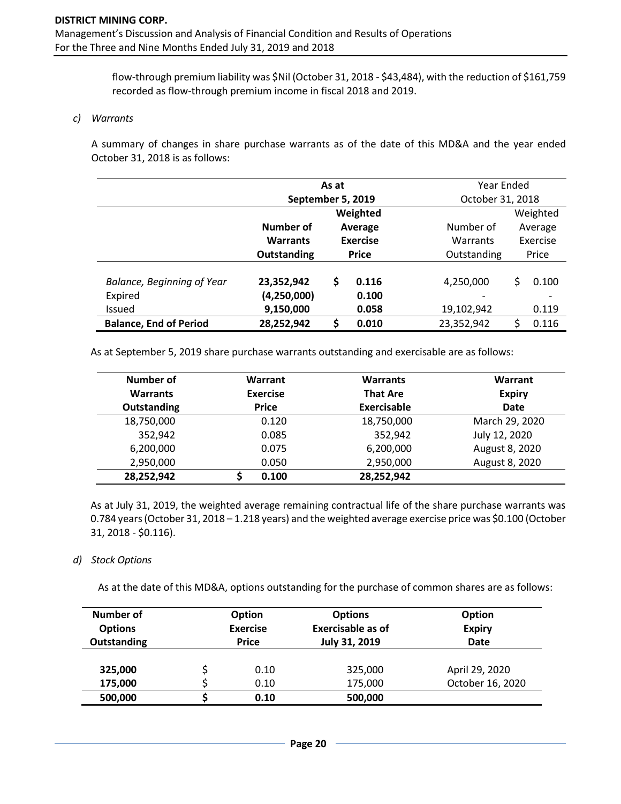flow-through premium liability was \$Nil (October 31, 2018 - \$43,484), with the reduction of \$161,759 recorded as flow-through premium income in fiscal 2018 and 2019.

#### *c) Warrants*

A summary of changes in share purchase warrants as of the date of this MD&A and the year ended October 31, 2018 is as follows:

|                                   | As at             |                            |          |             | Year Ended          |          |  |  |
|-----------------------------------|-------------------|----------------------------|----------|-------------|---------------------|----------|--|--|
|                                   | September 5, 2019 |                            |          |             | October 31, 2018    |          |  |  |
|                                   |                   |                            | Weighted |             |                     | Weighted |  |  |
|                                   | Number of         | Average<br><b>Exercise</b> |          | Number of   | Average<br>Exercise |          |  |  |
|                                   | <b>Warrants</b>   |                            |          | Warrants    |                     |          |  |  |
|                                   | Outstanding       | <b>Price</b>               |          | Outstanding |                     | Price    |  |  |
|                                   |                   |                            | 0.116    |             |                     |          |  |  |
| <b>Balance, Beginning of Year</b> | 23,352,942        | \$                         |          | 4,250,000   |                     | 0.100    |  |  |
| Expired                           | (4,250,000)       |                            | 0.100    | -           |                     |          |  |  |
| <b>Issued</b>                     | 9,150,000         |                            | 0.058    | 19,102,942  |                     | 0.119    |  |  |
| <b>Balance, End of Period</b>     | 28,252,942        | \$                         | 0.010    | 23,352,942  | ς                   | 0.116    |  |  |

As at September 5, 2019 share purchase warrants outstanding and exercisable are as follows:

| Number of          | Warrant<br><b>Warrants</b> |                 | Warrant        |
|--------------------|----------------------------|-----------------|----------------|
| <b>Warrants</b>    | <b>Exercise</b>            | <b>That Are</b> | <b>Expiry</b>  |
| <b>Outstanding</b> | <b>Price</b>               | Exercisable     | <b>Date</b>    |
| 18,750,000         | 0.120                      | 18,750,000      | March 29, 2020 |
| 352,942            | 0.085                      | 352,942         | July 12, 2020  |
| 6,200,000          | 0.075                      | 6,200,000       | August 8, 2020 |
| 2,950,000          | 0.050                      | 2,950,000       | August 8, 2020 |
| 28,252,942         | 0.100                      | 28,252,942      |                |

As at July 31, 2019, the weighted average remaining contractual life of the share purchase warrants was 0.784 years (October 31, 2018 – 1.218 years) and the weighted average exercise price was \$0.100 (October 31, 2018 - \$0.116).

#### *d) Stock Options*

As at the date of this MD&A, options outstanding for the purchase of common shares are as follows:

| Number of      | <b>Option</b>   |      | <b>Options</b>           | <b>Option</b>    |  |  |
|----------------|-----------------|------|--------------------------|------------------|--|--|
| <b>Options</b> | <b>Exercise</b> |      | <b>Exercisable as of</b> | <b>Expiry</b>    |  |  |
| Outstanding    | <b>Price</b>    |      | <b>July 31, 2019</b>     | <b>Date</b>      |  |  |
| 325,000        |                 | 0.10 | 325,000                  | April 29, 2020   |  |  |
| 175,000        |                 | 0.10 | 175,000                  | October 16, 2020 |  |  |
| 500,000        |                 | 0.10 | 500,000                  |                  |  |  |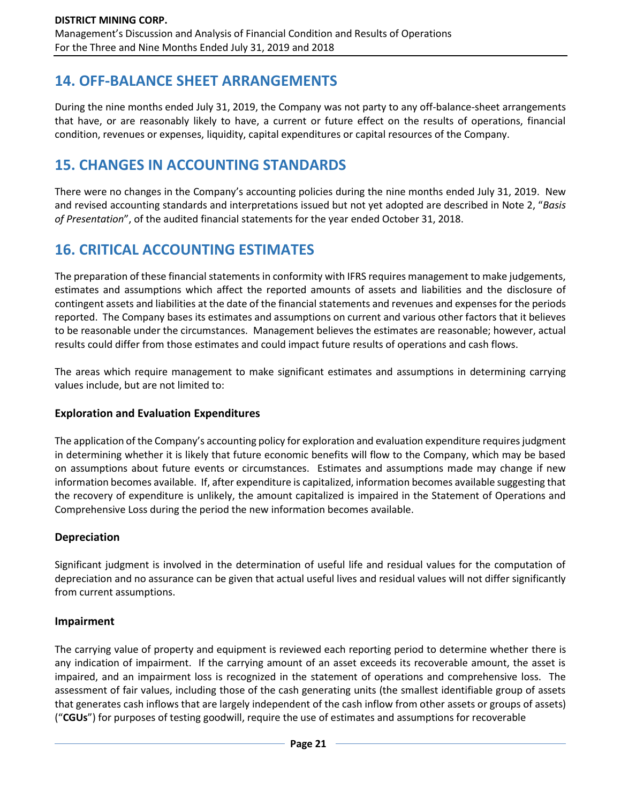## **14. OFF-BALANCE SHEET ARRANGEMENTS**

During the nine months ended July 31, 2019, the Company was not party to any off-balance-sheet arrangements that have, or are reasonably likely to have, a current or future effect on the results of operations, financial condition, revenues or expenses, liquidity, capital expenditures or capital resources of the Company.

# **15. CHANGES IN ACCOUNTING STANDARDS**

There were no changes in the Company's accounting policies during the nine months ended July 31, 2019. New and revised accounting standards and interpretations issued but not yet adopted are described in Note 2, "*Basis of Presentation*", of the audited financial statements for the year ended October 31, 2018.

# **16. CRITICAL ACCOUNTING ESTIMATES**

The preparation of these financial statements in conformity with IFRS requires management to make judgements, estimates and assumptions which affect the reported amounts of assets and liabilities and the disclosure of contingent assets and liabilities at the date of the financial statements and revenues and expenses for the periods reported. The Company bases its estimates and assumptions on current and various other factors that it believes to be reasonable under the circumstances. Management believes the estimates are reasonable; however, actual results could differ from those estimates and could impact future results of operations and cash flows.

The areas which require management to make significant estimates and assumptions in determining carrying values include, but are not limited to:

## **Exploration and Evaluation Expenditures**

The application of the Company's accounting policy for exploration and evaluation expenditure requires judgment in determining whether it is likely that future economic benefits will flow to the Company, which may be based on assumptions about future events or circumstances. Estimates and assumptions made may change if new information becomes available. If, after expenditure is capitalized, information becomes available suggesting that the recovery of expenditure is unlikely, the amount capitalized is impaired in the Statement of Operations and Comprehensive Loss during the period the new information becomes available.

## **Depreciation**

Significant judgment is involved in the determination of useful life and residual values for the computation of depreciation and no assurance can be given that actual useful lives and residual values will not differ significantly from current assumptions.

### **Impairment**

The carrying value of property and equipment is reviewed each reporting period to determine whether there is any indication of impairment. If the carrying amount of an asset exceeds its recoverable amount, the asset is impaired, and an impairment loss is recognized in the statement of operations and comprehensive loss. The assessment of fair values, including those of the cash generating units (the smallest identifiable group of assets that generates cash inflows that are largely independent of the cash inflow from other assets or groups of assets) ("**CGUs**") for purposes of testing goodwill, require the use of estimates and assumptions for recoverable